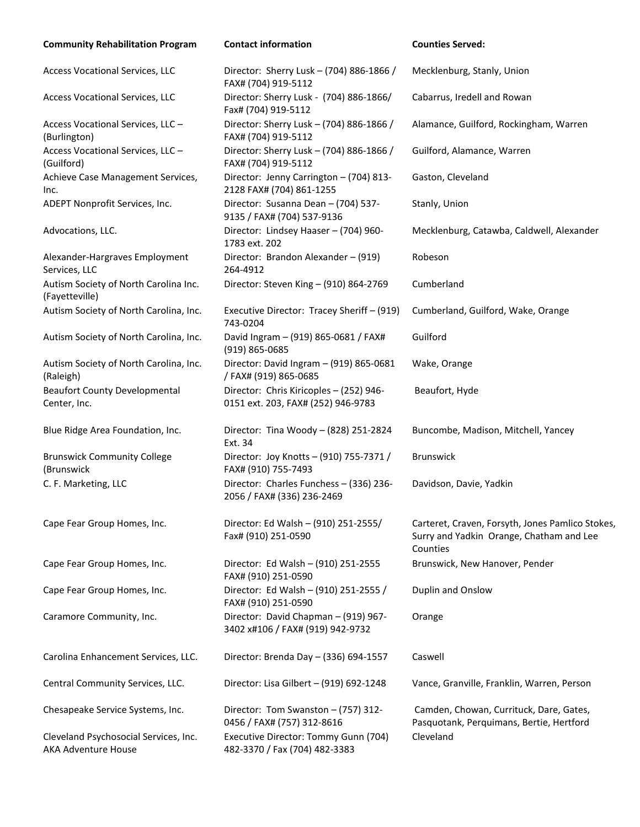| <b>Community Rehabilitation Program</b>                             | <b>Contact information</b>                                                    | <b>Counties Served:</b>                                                                                  |
|---------------------------------------------------------------------|-------------------------------------------------------------------------------|----------------------------------------------------------------------------------------------------------|
| Access Vocational Services, LLC                                     | Director: Sherry Lusk - (704) 886-1866 /<br>FAX# (704) 919-5112               | Mecklenburg, Stanly, Union                                                                               |
| Access Vocational Services, LLC                                     | Director: Sherry Lusk - (704) 886-1866/<br>Fax# (704) 919-5112                | Cabarrus, Iredell and Rowan                                                                              |
| Access Vocational Services, LLC -<br>(Burlington)                   | Director: Sherry Lusk - (704) 886-1866 /<br>FAX# (704) 919-5112               | Alamance, Guilford, Rockingham, Warren                                                                   |
| Access Vocational Services, LLC -<br>(Guilford)                     | Director: Sherry Lusk - (704) 886-1866 /<br>FAX# (704) 919-5112               | Guilford, Alamance, Warren                                                                               |
| Achieve Case Management Services,<br>Inc.                           | Director: Jenny Carrington - (704) 813-<br>2128 FAX# (704) 861-1255           | Gaston, Cleveland                                                                                        |
| ADEPT Nonprofit Services, Inc.                                      | Director: Susanna Dean - (704) 537-<br>9135 / FAX# (704) 537-9136             | Stanly, Union                                                                                            |
| Advocations, LLC.                                                   | Director: Lindsey Haaser - (704) 960-<br>1783 ext. 202                        | Mecklenburg, Catawba, Caldwell, Alexander                                                                |
| Alexander-Hargraves Employment<br>Services, LLC                     | Director: Brandon Alexander - (919)<br>264-4912                               | Robeson                                                                                                  |
| Autism Society of North Carolina Inc.<br>(Fayetteville)             | Director: Steven King - (910) 864-2769                                        | Cumberland                                                                                               |
| Autism Society of North Carolina, Inc.                              | Executive Director: Tracey Sheriff - (919)<br>743-0204                        | Cumberland, Guilford, Wake, Orange                                                                       |
| Autism Society of North Carolina, Inc.                              | David Ingram - (919) 865-0681 / FAX#<br>$(919) 865 - 0685$                    | Guilford                                                                                                 |
| Autism Society of North Carolina, Inc.<br>(Raleigh)                 | Director: David Ingram - (919) 865-0681<br>/ FAX# (919) 865-0685              | Wake, Orange                                                                                             |
| <b>Beaufort County Developmental</b><br>Center, Inc.                | Director: Chris Kiricoples - (252) 946-<br>0151 ext. 203, FAX# (252) 946-9783 | Beaufort, Hyde                                                                                           |
| Blue Ridge Area Foundation, Inc.                                    | Director: Tina Woody - (828) 251-2824<br>Ext. 34                              | Buncombe, Madison, Mitchell, Yancey                                                                      |
| <b>Brunswick Community College</b><br>(Brunswick                    | Director: Joy Knotts - (910) 755-7371 /<br>FAX# (910) 755-7493                | Brunswick                                                                                                |
| C. F. Marketing, LLC                                                | Director: Charles Funchess - (336) 236-<br>2056 / FAX# (336) 236-2469         | Davidson, Davie, Yadkin                                                                                  |
| Cape Fear Group Homes, Inc.                                         | Director: Ed Walsh - (910) 251-2555/<br>Fax# (910) 251-0590                   | Carteret, Craven, Forsyth, Jones Pamlico Stokes,<br>Surry and Yadkin Orange, Chatham and Lee<br>Counties |
| Cape Fear Group Homes, Inc.                                         | Director: Ed Walsh - (910) 251-2555<br>FAX# (910) 251-0590                    | Brunswick, New Hanover, Pender                                                                           |
| Cape Fear Group Homes, Inc.                                         | Director: Ed Walsh - (910) 251-2555 /<br>FAX# (910) 251-0590                  | Duplin and Onslow                                                                                        |
| Caramore Community, Inc.                                            | Director: David Chapman - (919) 967-<br>3402 x#106 / FAX# (919) 942-9732      | Orange                                                                                                   |
| Carolina Enhancement Services, LLC.                                 | Director: Brenda Day - (336) 694-1557                                         | Caswell                                                                                                  |
| Central Community Services, LLC.                                    | Director: Lisa Gilbert - (919) 692-1248                                       | Vance, Granville, Franklin, Warren, Person                                                               |
| Chesapeake Service Systems, Inc.                                    | Director: Tom Swanston - (757) 312-<br>0456 / FAX# (757) 312-8616             | Camden, Chowan, Currituck, Dare, Gates,<br>Pasquotank, Perquimans, Bertie, Hertford                      |
| Cleveland Psychosocial Services, Inc.<br><b>AKA Adventure House</b> | Executive Director: Tommy Gunn (704)<br>482-3370 / Fax (704) 482-3383         | Cleveland                                                                                                |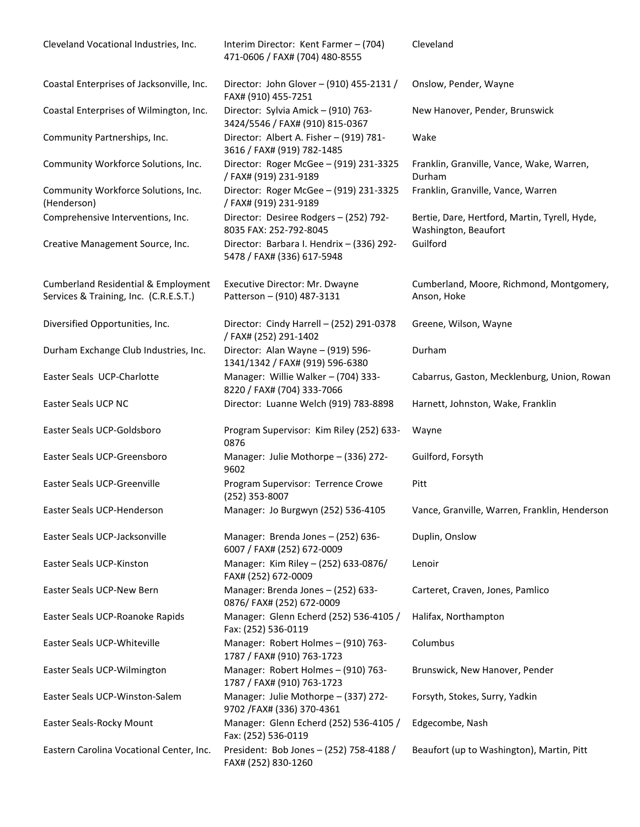| Cleveland Vocational Industries, Inc.                                                    | Interim Director: Kent Farmer - (704)<br>471-0606 / FAX# (704) 480-8555 | Cleveland                                                             |
|------------------------------------------------------------------------------------------|-------------------------------------------------------------------------|-----------------------------------------------------------------------|
| Coastal Enterprises of Jacksonville, Inc.                                                | Director: John Glover - (910) 455-2131 /<br>FAX# (910) 455-7251         | Onslow, Pender, Wayne                                                 |
| Coastal Enterprises of Wilmington, Inc.                                                  | Director: Sylvia Amick - (910) 763-<br>3424/5546 / FAX# (910) 815-0367  | New Hanover, Pender, Brunswick                                        |
| Community Partnerships, Inc.                                                             | Director: Albert A. Fisher - (919) 781-<br>3616 / FAX# (919) 782-1485   | Wake                                                                  |
| Community Workforce Solutions, Inc.                                                      | Director: Roger McGee - (919) 231-3325<br>/FAX# (919) 231-9189          | Franklin, Granville, Vance, Wake, Warren,<br>Durham                   |
| Community Workforce Solutions, Inc.<br>(Henderson)                                       | Director: Roger McGee - (919) 231-3325<br>/FAX# (919) 231-9189          | Franklin, Granville, Vance, Warren                                    |
| Comprehensive Interventions, Inc.                                                        | Director: Desiree Rodgers - (252) 792-<br>8035 FAX: 252-792-8045        | Bertie, Dare, Hertford, Martin, Tyrell, Hyde,<br>Washington, Beaufort |
| Creative Management Source, Inc.                                                         | Director: Barbara I. Hendrix - (336) 292-<br>5478 / FAX# (336) 617-5948 | Guilford                                                              |
| <b>Cumberland Residential &amp; Employment</b><br>Services & Training, Inc. (C.R.E.S.T.) | Executive Director: Mr. Dwayne<br>Patterson - (910) 487-3131            | Cumberland, Moore, Richmond, Montgomery,<br>Anson, Hoke               |
| Diversified Opportunities, Inc.                                                          | Director: Cindy Harrell - (252) 291-0378<br>/ FAX# (252) 291-1402       | Greene, Wilson, Wayne                                                 |
| Durham Exchange Club Industries, Inc.                                                    | Director: Alan Wayne - (919) 596-<br>1341/1342 / FAX# (919) 596-6380    | Durham                                                                |
| Easter Seals UCP-Charlotte                                                               | Manager: Willie Walker - (704) 333-<br>8220 / FAX# (704) 333-7066       | Cabarrus, Gaston, Mecklenburg, Union, Rowan                           |
| Easter Seals UCP NC                                                                      | Director: Luanne Welch (919) 783-8898                                   | Harnett, Johnston, Wake, Franklin                                     |
| Easter Seals UCP-Goldsboro                                                               | Program Supervisor: Kim Riley (252) 633-<br>0876                        | Wayne                                                                 |
| Easter Seals UCP-Greensboro                                                              | Manager: Julie Mothorpe - (336) 272-<br>9602                            | Guilford, Forsyth                                                     |
| <b>Easter Seals UCP-Greenville</b>                                                       | Program Supervisor: Terrence Crowe<br>(252) 353-8007                    | Pitt                                                                  |
| Easter Seals UCP-Henderson                                                               | Manager: Jo Burgwyn (252) 536-4105                                      | Vance, Granville, Warren, Franklin, Henderson                         |
| Easter Seals UCP-Jacksonville                                                            | Manager: Brenda Jones - (252) 636-<br>6007 / FAX# (252) 672-0009        | Duplin, Onslow                                                        |
| Easter Seals UCP-Kinston                                                                 | Manager: Kim Riley - (252) 633-0876/<br>FAX# (252) 672-0009             | Lenoir                                                                |
| Easter Seals UCP-New Bern                                                                | Manager: Brenda Jones - (252) 633-<br>0876/ FAX# (252) 672-0009         | Carteret, Craven, Jones, Pamlico                                      |
| Easter Seals UCP-Roanoke Rapids                                                          | Manager: Glenn Echerd (252) 536-4105 /<br>Fax: (252) 536-0119           | Halifax, Northampton                                                  |
| Easter Seals UCP-Whiteville                                                              | Manager: Robert Holmes - (910) 763-<br>1787 / FAX# (910) 763-1723       | Columbus                                                              |
| Easter Seals UCP-Wilmington                                                              | Manager: Robert Holmes - (910) 763-<br>1787 / FAX# (910) 763-1723       | Brunswick, New Hanover, Pender                                        |
| Easter Seals UCP-Winston-Salem                                                           | Manager: Julie Mothorpe - (337) 272-<br>9702 / FAX# (336) 370-4361      | Forsyth, Stokes, Surry, Yadkin                                        |
| Easter Seals-Rocky Mount                                                                 | Manager: Glenn Echerd (252) 536-4105 /<br>Fax: (252) 536-0119           | Edgecombe, Nash                                                       |
| Eastern Carolina Vocational Center, Inc.                                                 | President: Bob Jones - (252) 758-4188 /<br>FAX# (252) 830-1260          | Beaufort (up to Washington), Martin, Pitt                             |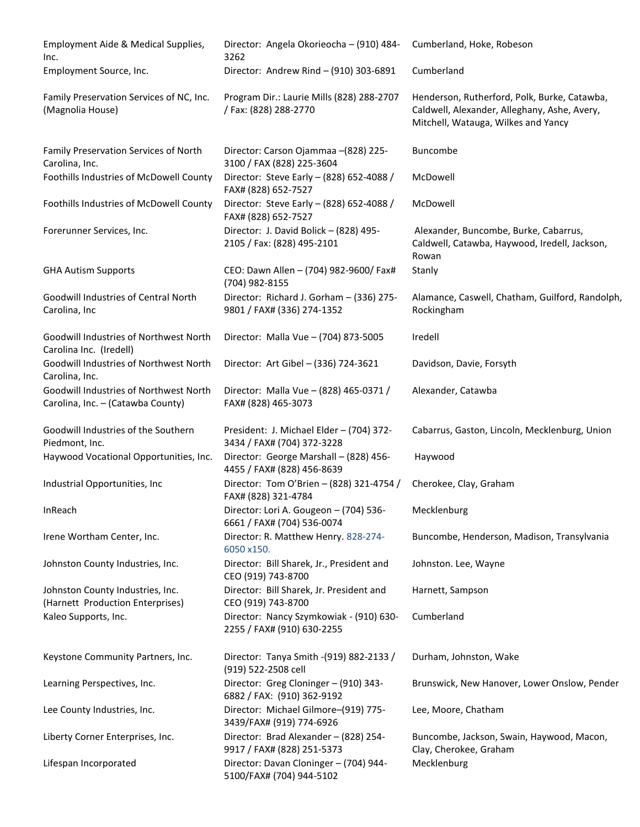| Employment Aide & Medical Supplies,<br>Inc.                                 | Director: Angela Okorieocha - (910) 484-<br>3262                       | Cumberland, Hoke, Robeson                                                                                                           |
|-----------------------------------------------------------------------------|------------------------------------------------------------------------|-------------------------------------------------------------------------------------------------------------------------------------|
| Employment Source, Inc.                                                     | Director: Andrew Rind - (910) 303-6891                                 | Cumberland                                                                                                                          |
| Family Preservation Services of NC, Inc.<br>(Magnolia House)                | Program Dir.: Laurie Mills (828) 288-2707<br>/ Fax: (828) 288-2770     | Henderson, Rutherford, Polk, Burke, Catawba,<br>Caldwell, Alexander, Alleghany, Ashe, Avery,<br>Mitchell, Watauga, Wilkes and Yancy |
| Family Preservation Services of North<br>Carolina, Inc.                     | Director: Carson Ojammaa -(828) 225-<br>3100 / FAX (828) 225-3604      | Buncombe                                                                                                                            |
| Foothills Industries of McDowell County                                     | Director: Steve Early - (828) 652-4088 /<br>FAX# (828) 652-7527        | McDowell                                                                                                                            |
| Foothills Industries of McDowell County                                     | Director: Steve Early - (828) 652-4088 /<br>FAX# (828) 652-7527        | McDowell                                                                                                                            |
| Forerunner Services, Inc.                                                   | Director: J. David Bolick - (828) 495-<br>2105 / Fax: (828) 495-2101   | Alexander, Buncombe, Burke, Cabarrus,<br>Caldwell, Catawba, Haywood, Iredell, Jackson,<br>Rowan                                     |
| <b>GHA Autism Supports</b>                                                  | CEO: Dawn Allen - (704) 982-9600/ Fax#<br>(704) 982-8155               | Stanly                                                                                                                              |
| Goodwill Industries of Central North<br>Carolina, Inc                       | Director: Richard J. Gorham - (336) 275-<br>9801 / FAX# (336) 274-1352 | Alamance, Caswell, Chatham, Guilford, Randolph,<br>Rockingham                                                                       |
| Goodwill Industries of Northwest North<br>Carolina Inc. (Iredell)           | Director: Malla Vue - (704) 873-5005                                   | Iredell                                                                                                                             |
| Goodwill Industries of Northwest North<br>Carolina, Inc.                    | Director: Art Gibel - (336) 724-3621                                   | Davidson, Davie, Forsyth                                                                                                            |
| Goodwill Industries of Northwest North<br>Carolina, Inc. - (Catawba County) | Director: Malla Vue - (828) 465-0371 /<br>FAX# (828) 465-3073          | Alexander, Catawba                                                                                                                  |
| Goodwill Industries of the Southern<br>Piedmont, Inc.                       | President: J. Michael Elder - (704) 372-<br>3434 / FAX# (704) 372-3228 | Cabarrus, Gaston, Lincoln, Mecklenburg, Union                                                                                       |
| Haywood Vocational Opportunities, Inc.                                      | Director: George Marshall - (828) 456-<br>4455 / FAX# (828) 456-8639   | Haywood                                                                                                                             |
| Industrial Opportunities, Inc                                               | Director: Tom O'Brien - (828) 321-4754 /<br>FAX# (828) 321-4784        | Cherokee, Clay, Graham                                                                                                              |
| InReach                                                                     | Director: Lori A. Gougeon - (704) 536-<br>6661 / FAX# (704) 536-0074   | Mecklenburg                                                                                                                         |
| Irene Wortham Center, Inc.                                                  | Director: R. Matthew Henry. 828-274-<br>6050 x150.                     | Buncombe, Henderson, Madison, Transylvania                                                                                          |
| Johnston County Industries, Inc.                                            | Director: Bill Sharek, Jr., President and<br>CEO (919) 743-8700        | Johnston. Lee, Wayne                                                                                                                |
| Johnston County Industries, Inc.<br>(Harnett Production Enterprises)        | Director: Bill Sharek, Jr. President and<br>CEO (919) 743-8700         | Harnett, Sampson                                                                                                                    |
| Kaleo Supports, Inc.                                                        | Director: Nancy Szymkowiak - (910) 630-<br>2255 / FAX# (910) 630-2255  | Cumberland                                                                                                                          |
| Keystone Community Partners, Inc.                                           | Director: Tanya Smith - (919) 882-2133 /<br>(919) 522-2508 cell        | Durham, Johnston, Wake                                                                                                              |
| Learning Perspectives, Inc.                                                 | Director: Greg Cloninger - (910) 343-<br>6882 / FAX: (910) 362-9192    | Brunswick, New Hanover, Lower Onslow, Pender                                                                                        |
| Lee County Industries, Inc.                                                 | Director: Michael Gilmore-(919) 775-<br>3439/FAX# (919) 774-6926       | Lee, Moore, Chatham                                                                                                                 |
| Liberty Corner Enterprises, Inc.                                            | Director: Brad Alexander - (828) 254-<br>9917 / FAX# (828) 251-5373    | Buncombe, Jackson, Swain, Haywood, Macon,<br>Clay, Cherokee, Graham                                                                 |
| Lifespan Incorporated                                                       | Director: Davan Cloninger - (704) 944-<br>5100/FAX# (704) 944-5102     | Mecklenburg                                                                                                                         |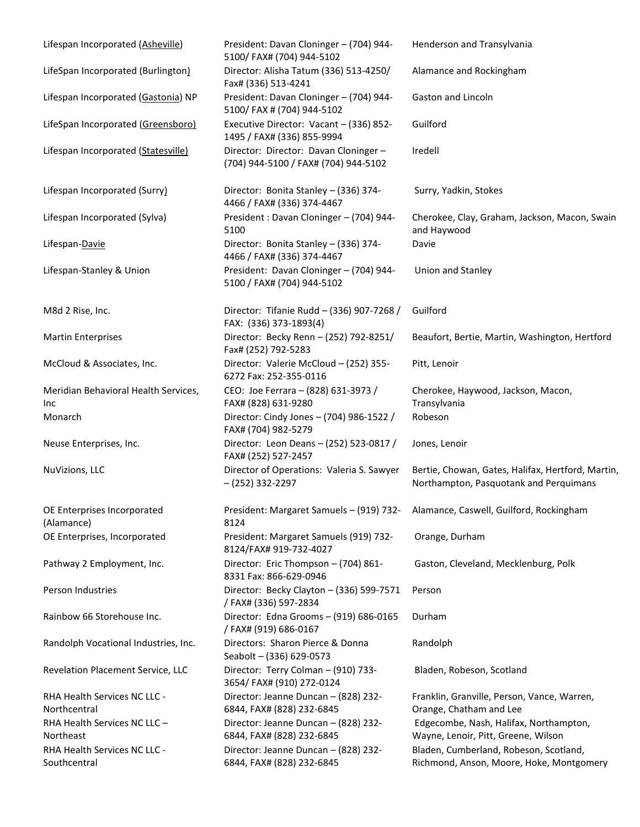| Lifespan Incorporated (Asheville)            | President: Davan Cloninger - (704) 944-<br>5100/ FAX# (704) 944-5102         | Henderson and Transylvania                                                                  |
|----------------------------------------------|------------------------------------------------------------------------------|---------------------------------------------------------------------------------------------|
| LifeSpan Incorporated (Burlington)           | Director: Alisha Tatum (336) 513-4250/<br>Fax# (336) 513-4241                | Alamance and Rockingham                                                                     |
| Lifespan Incorporated (Gastonia) NP          | President: Davan Cloninger - (704) 944-<br>5100/ FAX # (704) 944-5102        | Gaston and Lincoln                                                                          |
| LifeSpan Incorporated (Greensboro)           | Executive Director: Vacant - (336) 852-<br>1495 / FAX# (336) 855-9994        | Guilford                                                                                    |
| Lifespan Incorporated (Statesville)          | Director: Director: Davan Cloninger-<br>(704) 944-5100 / FAX# (704) 944-5102 | Iredell                                                                                     |
| Lifespan Incorporated (Surry)                | Director: Bonita Stanley - (336) 374-<br>4466 / FAX# (336) 374-4467          | Surry, Yadkin, Stokes                                                                       |
| Lifespan Incorporated (Sylva)                | President: Davan Cloninger - (704) 944-<br>5100                              | Cherokee, Clay, Graham, Jackson, Macon, Swain<br>and Haywood                                |
| Lifespan-Davie                               | Director: Bonita Stanley - (336) 374-<br>4466 / FAX# (336) 374-4467          | Davie                                                                                       |
| Lifespan-Stanley & Union                     | President: Davan Cloninger - (704) 944-<br>5100 / FAX# (704) 944-5102        | Union and Stanley                                                                           |
| M8d 2 Rise, Inc.                             | Director: Tifanie Rudd - (336) 907-7268 /<br>FAX: (336) 373-1893(4)          | Guilford                                                                                    |
| <b>Martin Enterprises</b>                    | Director: Becky Renn - (252) 792-8251/<br>Fax# (252) 792-5283                | Beaufort, Bertie, Martin, Washington, Hertford                                              |
| McCloud & Associates, Inc.                   | Director: Valerie McCloud - (252) 355-<br>6272 Fax: 252-355-0116             | Pitt, Lenoir                                                                                |
| Meridian Behavioral Health Services,<br>Inc. | CEO: Joe Ferrara - (828) 631-3973 /<br>FAX# (828) 631-9280                   | Cherokee, Haywood, Jackson, Macon,<br>Transylvania                                          |
| Monarch                                      | Director: Cindy Jones - (704) 986-1522 /<br>FAX# (704) 982-5279              | Robeson                                                                                     |
| Neuse Enterprises, Inc.                      | Director: Leon Deans - (252) 523-0817 /<br>FAX# (252) 527-2457               | Jones, Lenoir                                                                               |
| NuVizions, LLC                               | Director of Operations: Valeria S. Sawyer<br>$-(252)$ 332-2297               | Bertie, Chowan, Gates, Halifax, Hertford, Martin,<br>Northampton, Pasquotank and Perquimans |
| OE Enterprises Incorporated<br>(Alamance)    | President: Margaret Samuels - (919) 732-<br>8124                             | Alamance, Caswell, Guilford, Rockingham                                                     |
| OE Enterprises, Incorporated                 | President: Margaret Samuels (919) 732-<br>8124/FAX# 919-732-4027             | Orange, Durham                                                                              |
| Pathway 2 Employment, Inc.                   | Director: Eric Thompson - (704) 861-<br>8331 Fax: 866-629-0946               | Gaston, Cleveland, Mecklenburg, Polk                                                        |
| Person Industries                            | Director: Becky Clayton - (336) 599-7571<br>/ FAX# (336) 597-2834            | Person                                                                                      |
| Rainbow 66 Storehouse Inc.                   | Director: Edna Grooms - (919) 686-0165<br>/ FAX# (919) 686-0167              | Durham                                                                                      |
| Randolph Vocational Industries, Inc.         | Directors: Sharon Pierce & Donna<br>Seabolt - (336) 629-0573                 | Randolph                                                                                    |
| Revelation Placement Service, LLC            | Director: Terry Colman - (910) 733-<br>3654/FAX# (910) 272-0124              | Bladen, Robeson, Scotland                                                                   |
| RHA Health Services NC LLC -<br>Northcentral | Director: Jeanne Duncan - (828) 232-<br>6844, FAX# (828) 232-6845            | Franklin, Granville, Person, Vance, Warren,<br>Orange, Chatham and Lee                      |
| RHA Health Services NC LLC-<br>Northeast     | Director: Jeanne Duncan - (828) 232-<br>6844, FAX# (828) 232-6845            | Edgecombe, Nash, Halifax, Northampton,<br>Wayne, Lenoir, Pitt, Greene, Wilson               |
| RHA Health Services NC LLC -<br>Southcentral | Director: Jeanne Duncan - (828) 232-<br>6844, FAX# (828) 232-6845            | Bladen, Cumberland, Robeson, Scotland,<br>Richmond, Anson, Moore, Hoke, Montgomery          |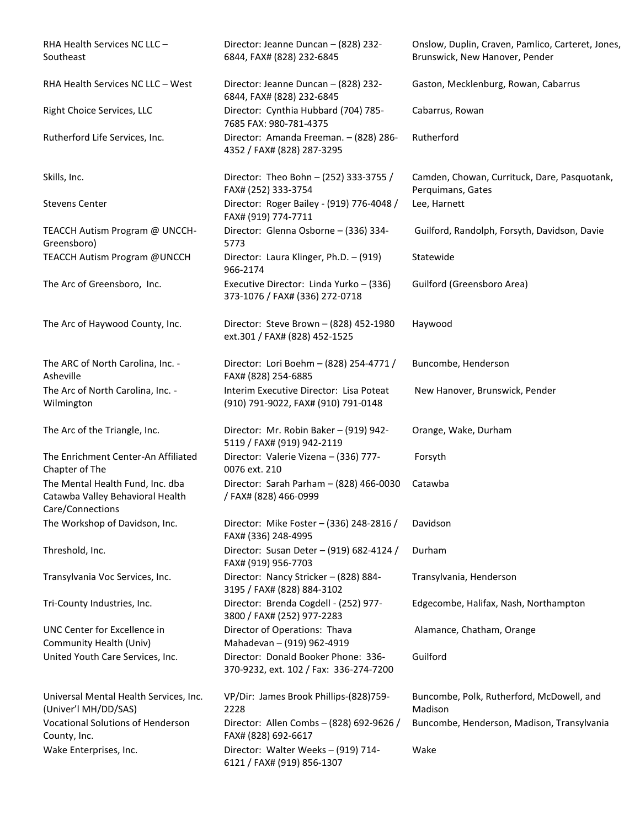RHA Health Services NC LLC – Southeast

TEACCH Autism Program @ UNCCH-Greensboro)

The ARC of North Carolina, Inc. - Asheville The Arc of North Carolina, Inc. - Wilmington

The Enrichment Center-An Affiliated Chapter of The The Mental Health Fund, Inc. dba Catawba Valley Behavioral Health Care/Connections

UNC Center for Excellence in Community Health (Univ)

Universal Mental Health Services, Inc. (Univer'l MH/DD/SAS) Vocational Solutions of Henderson County, Inc. Wake Enterprises, Inc. **Director: Walter Weeks – (919) 714-**

Director: Jeanne Duncan – (828) 232- 6844, FAX# (828) 232-6845

RHA Health Services NC LLC – West Director: Jeanne Duncan – (828) 232-6844, FAX# (828) 232-6845 Right Choice Services, LLC Director: Cynthia Hubbard (704) 785- 7685 FAX: 980-781-4375 Rutherford Life Services, Inc. Director: Amanda Freeman. – (828) 286- 4352 / FAX# (828) 287-3295

Skills, Inc. Director: Theo Bohn – (252) 333-3755 / FAX# (252) 333-3754 Stevens Center **Director: Roger Bailey - (919) 776-4048** / FAX# (919) 774-7711 Director: Glenna Osborne – (336) 334- 5773 TEACCH Autism Program @UNCCH Director: Laura Klinger, Ph.D. – (919) 966-2174 The Arc of Greensboro, Inc. Executive Director: Linda Yurko – (336) 373-1076 / FAX# (336) 272-0718

The Arc of Haywood County, Inc. Director: Steve Brown – (828) 452-1980 ext.301 / FAX# (828) 452-1525

> Director: Lori Boehm – (828) 254-4771 / FAX# (828) 254-6885 Interim Executive Director: Lisa Poteat (910) 791-9022, FAX# (910) 791-0148

The Arc of the Triangle, Inc. Director: Mr. Robin Baker – (919) 942-5119 / FAX# (919) 942-2119 Director: Valerie Vizena – (336) 777- 0076 ext. 210 Director: Sarah Parham – (828) 466-0030 / FAX# (828) 466-0999

The Workshop of Davidson, Inc. Director: Mike Foster – (336) 248-2816 / FAX# (336) 248-4995 Threshold, Inc. Director: Susan Deter – (919) 682-4124 / FAX# (919) 956-7703 Transylvania Voc Services, Inc. Director: Nancy Stricker – (828) 884- 3195 / FAX# (828) 884-3102 Tri-County Industries, Inc. Director: Brenda Cogdell - (252) 977- 3800 / FAX# (252) 977-2283 Director of Operations: Thava Mahadevan – (919) 962-4919 United Youth Care Services, Inc. Director: Donald Booker Phone: 336- 370-9232, ext. 102 / Fax: 336-274-7200

> VP/Dir: James Brook Phillips-(828)759- 2228 Director: Allen Combs – (828) 692-9626 / FAX# (828) 692-6617 6121 / FAX# (919) 856-1307

Onslow, Duplin, Craven, Pamlico, Carteret, Jones, Brunswick, New Hanover, Pender

Gaston, Mecklenburg, Rowan, Cabarrus

Cabarrus, Rowan

Rutherford

Camden, Chowan, Currituck, Dare, Pasquotank, Perquimans, Gates Lee, Harnett

Guilford, Randolph, Forsyth, Davidson, Davie

Statewide

Guilford (Greensboro Area)

Haywood

Buncombe, Henderson

New Hanover, Brunswick, Pender

Orange, Wake, Durham

Forsyth

Catawba

Davidson

Durham Transylvania, Henderson Edgecombe, Halifax, Nash, Northampton

Alamance, Chatham, Orange

Guilford

Buncombe, Polk, Rutherford, McDowell, and Madison Buncombe, Henderson, Madison, Transylvania Wake